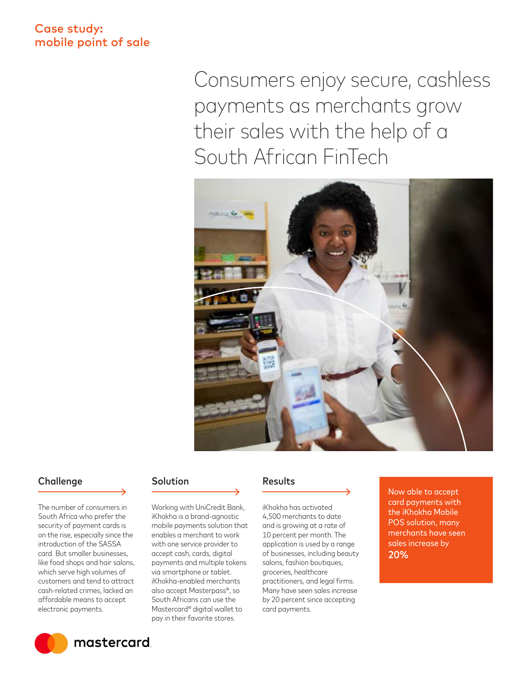## Case study: mobile point of sale

Consumers enjoy secure, cashless payments as merchants grow their sales with the help of a South African FinTech



#### Challenge Solution Results

The number of consumers in South Africa who prefer the security of payment cards is on the rise, especially since the introduction of the SASSA card. But smaller businesses, like food shops and hair salons, which serve high volumes of customers and tend to attract cash-related crimes, lacked an affordable means to accept electronic payments.



mastercard

with one service provider to accept cash, cards, digital payments and multiple tokens via smartphone or tablet. iKhokha-enabled merchants also accept Masterpass®, so South Africans can use the Mastercard® digital wallet to

pay in their favorite stores.

Working with UniCredit Bank, iKhokha is a brand-agnostic mobile payments solution that enables a merchant to work

iKhokha has activated 4,500 merchants to date and is growing at a rate of 10 percent per month. The application is used by a range of businesses, including beauty salons, fashion boutiques, groceries, healthcare practitioners, and legal firms. Many have seen sales increase by 20 percent since accepting card payments.

Now able to accept card payments with the iKhokha Mobile POS solution, many merchants have seen sales increase by 20%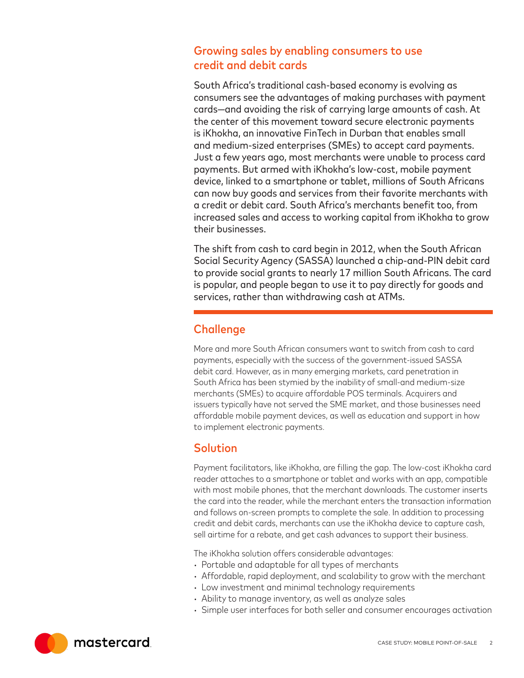# Growing sales by enabling consumers to use credit and debit cards

South Africa's traditional cash-based economy is evolving as consumers see the advantages of making purchases with payment cards—and avoiding the risk of carrying large amounts of cash. At the center of this movement toward secure electronic payments is iKhokha, an innovative FinTech in Durban that enables small and medium-sized enterprises (SMEs) to accept card payments. Just a few years ago, most merchants were unable to process card payments. But armed with iKhokha's low-cost, mobile payment device, linked to a smartphone or tablet, millions of South Africans can now buy goods and services from their favorite merchants with a credit or debit card. South Africa's merchants benefit too, from increased sales and access to working capital from iKhokha to grow their businesses.

The shift from cash to card begin in 2012, when the South African Social Security Agency (SASSA) launched a chip-and-PIN debit card to provide social grants to nearly 17 million South Africans. The card is popular, and people began to use it to pay directly for goods and services, rather than withdrawing cash at ATMs.

# **Challenge**

More and more South African consumers want to switch from cash to card payments, especially with the success of the government-issued SASSA debit card. However, as in many emerging markets, card penetration in South Africa has been stymied by the inability of small-and medium-size merchants (SMEs) to acquire affordable POS terminals. Acquirers and issuers typically have not served the SME market, and those businesses need affordable mobile payment devices, as well as education and support in how to implement electronic payments.

## Solution

Payment facilitators, like iKhokha, are filling the gap. The low-cost iKhokha card reader attaches to a smartphone or tablet and works with an app, compatible with most mobile phones, that the merchant downloads. The customer inserts the card into the reader, while the merchant enters the transaction information and follows on-screen prompts to complete the sale. In addition to processing credit and debit cards, merchants can use the iKhokha device to capture cash, sell airtime for a rebate, and get cash advances to support their business.

The iKhokha solution offers considerable advantages:

- Portable and adaptable for all types of merchants
- Affordable, rapid deployment, and scalability to grow with the merchant
- Low investment and minimal technology requirements
- Ability to manage inventory, as well as analyze sales
- Simple user interfaces for both seller and consumer encourages activation

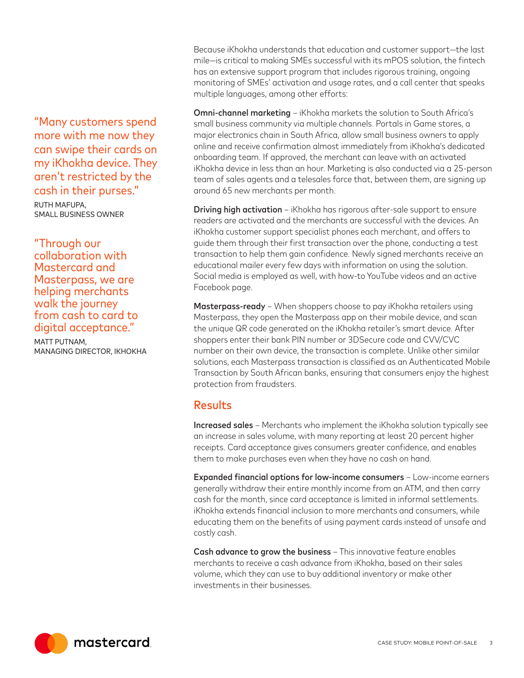"Many customers spend more with me now they can swipe their cards on my iKhokha device. They aren't restricted by the cash in their purses."

RUTH MAFUPA, SMALL BUSINESS OWNER

"Through our collaboration with Mastercard and Masterpass, we are helping merchants walk the journey from cash to card to digital acceptance."

MATT PUTNAM, MANAGING DIRECTOR, IKHOKHA Because iKhokha understands that education and customer support—the last mile—is critical to making SMEs successful with its mPOS solution, the fintech has an extensive support program that includes rigorous training, ongoing monitoring of SMEs' activation and usage rates, and a call center that speaks multiple languages, among other efforts:

Omni-channel marketing – iKhokha markets the solution to South Africa's small business community via multiple channels. Portals in Game stores, a major electronics chain in South Africa, allow small business owners to apply online and receive confirmation almost immediately from iKhokha's dedicated onboarding team. If approved, the merchant can leave with an activated iKhokha device in less than an hour. Marketing is also conducted via a 25-person team of sales agents and a telesales force that, between them, are signing up around 65 new merchants per month.

**Driving high activation** – iKhokha has rigorous after-sale support to ensure readers are activated and the merchants are successful with the devices. An iKhokha customer support specialist phones each merchant, and offers to guide them through their first transaction over the phone, conducting a test transaction to help them gain confidence. Newly signed merchants receive an educational mailer every few days with information on using the solution. Social media is employed as well, with how-to YouTube videos and an active Facebook page.

Masterpass-ready - When shoppers choose to pay iKhokha retailers using Masterpass, they open the Masterpass app on their mobile device, and scan the unique QR code generated on the iKhokha retailer's smart device. After shoppers enter their bank PIN number or 3DSecure code and CVV/CVC number on their own device, the transaction is complete. Unlike other similar solutions, each Masterpass transaction is classified as an Authenticated Mobile Transaction by South African banks, ensuring that consumers enjoy the highest protection from fraudsters.

#### Results

Increased sales – Merchants who implement the iKhokha solution typically see an increase in sales volume, with many reporting at least 20 percent higher receipts. Card acceptance gives consumers greater confidence, and enables them to make purchases even when they have no cash on hand.

Expanded financial options for low-income consumers – Low-income earners generally withdraw their entire monthly income from an ATM, and then carry cash for the month, since card acceptance is limited in informal settlements. iKhokha extends financial inclusion to more merchants and consumers, while educating them on the benefits of using payment cards instead of unsafe and costly cash.

Cash advance to grow the business – This innovative feature enables merchants to receive a cash advance from iKhokha, based on their sales volume, which they can use to buy additional inventory or make other investments in their businesses.